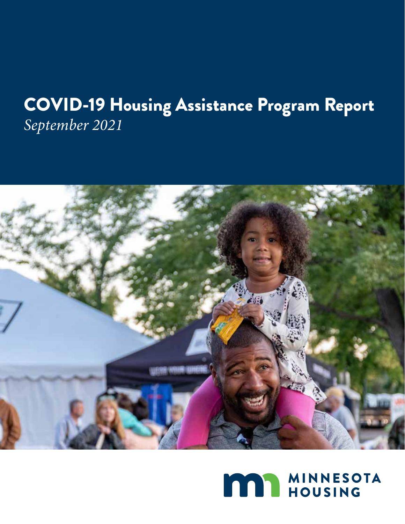## COVID-19 Housing Assistance Program Report *September 2021*



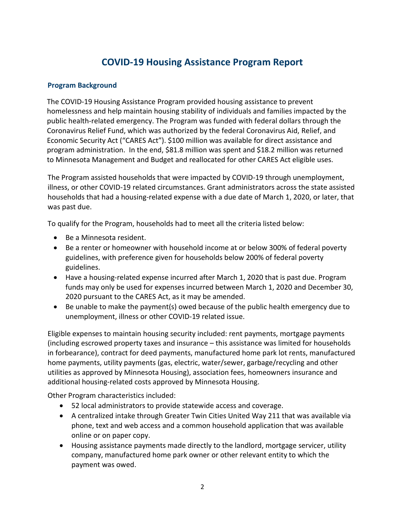## **COVID-19 Housing Assistance Program Report**

## **Program Background**

 The COVID-19 Housing Assistance Program provided housing assistance to prevent Coronavirus Relief Fund, which was authorized by the federal Coronavirus Aid, Relief, and Economic Security Act ("CARES Act"). \$100 million was available for direct assistance and program administration. In the end, \$81.8 million was spent and \$18.2 million was returned homelessness and help maintain housing stability of individuals and families impacted by the public health-related emergency. The Program was funded with federal dollars through the to Minnesota Management and Budget and reallocated for other CARES Act eligible uses.

 illness, or other COVID-19 related circumstances. Grant administrators across the state assisted The Program assisted households that were impacted by COVID-19 through unemployment, households that had a housing-related expense with a due date of March 1, 2020, or later, that was past due.

To qualify for the Program, households had to meet all the criteria listed below:

- Be a Minnesota resident.
- • Be a renter or homeowner with household income at or below 300% of federal poverty guidelines, with preference given for households below 200% of federal poverty guidelines.
- • Have a housing-related expense incurred after March 1, 2020 that is past due. Program funds may only be used for expenses incurred between March 1, 2020 and December 30, 2020 pursuant to the CARES Act, as it may be amended.
- • Be unable to make the payment(s) owed because of the public health emergency due to unemployment, illness or other COVID-19 related issue.

 Eligible expenses to maintain housing security included: rent payments, mortgage payments home payments, utility payments (gas, electric, water/sewer, garbage/recycling and other (including escrowed property taxes and insurance – this assistance was limited for households in forbearance), contract for deed payments, manufactured home park lot rents, manufactured utilities as approved by Minnesota Housing), association fees, homeowners insurance and additional housing-related costs approved by Minnesota Housing.

Other Program characteristics included:

- 52 local administrators to provide statewide access and coverage.
- phone, text and web access and a common household application that was available online or on paper copy. • A centralized intake through Greater Twin Cities United Way 211 that was available via
- • Housing assistance payments made directly to the landlord, mortgage servicer, utility company, manufactured home park owner or other relevant entity to which the payment was owed.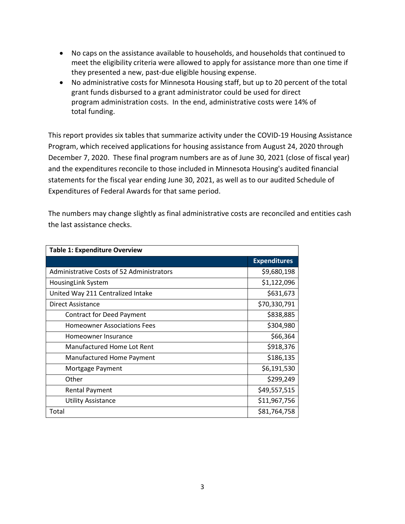- No caps on the assistance available to households, and households that continued to meet the eligibility criteria were allowed to apply for assistance more than one time if they presented a new, past-due eligible housing expense.
- • No administrative costs for Minnesota Housing staff, but up to 20 percent of the total grant funds disbursed to a grant administrator could be used for direct program administration costs. In the end, administrative costs were 14% of total funding.

 This report provides six tables that summarize activity under the COVID-19 Housing Assistance Program, which received applications for housing assistance from August 24, 2020 through December 7, 2020. These final program numbers are as of June 30, 2021 (close of fiscal year) and the expenditures reconcile to those included in Minnesota Housing's audited financial statements for the fiscal year ending June 30, 2021, as well as to our audited Schedule of Expenditures of Federal Awards for that same period.

The numbers may change slightly as final administrative costs are reconciled and entities cash the last assistance checks.

| <b>Table 1: Expenditure Overview</b>      |                     |
|-------------------------------------------|---------------------|
|                                           | <b>Expenditures</b> |
| Administrative Costs of 52 Administrators | \$9,680,198         |
| HousingLink System                        | \$1,122,096         |
| United Way 211 Centralized Intake         | \$631,673           |
| Direct Assistance                         | \$70,330,791        |
| <b>Contract for Deed Payment</b>          | \$838,885           |
| <b>Homeowner Associations Fees</b>        | \$304,980           |
| Homeowner Insurance                       | \$66,364            |
| Manufactured Home Lot Rent                | \$918,376           |
| Manufactured Home Payment                 | \$186,135           |
| Mortgage Payment                          | \$6,191,530         |
| Other                                     | \$299,249           |
| <b>Rental Payment</b>                     | \$49,557,515        |
| <b>Utility Assistance</b>                 | \$11,967,756        |
| Total                                     | \$81,764,758        |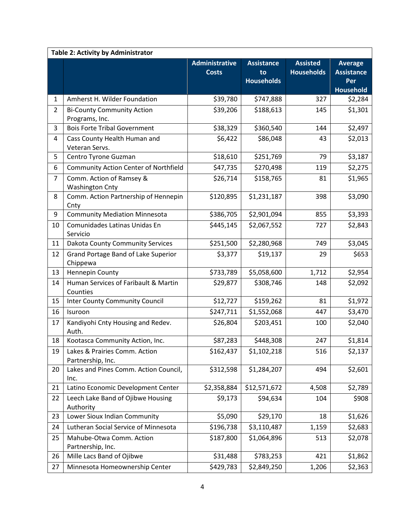|                | Table 2: Activity by Administrator                 |                       |                         |                   |                         |  |
|----------------|----------------------------------------------------|-----------------------|-------------------------|-------------------|-------------------------|--|
|                |                                                    | <b>Administrative</b> | <b>Assistance</b>       | <b>Assisted</b>   | <b>Average</b>          |  |
|                |                                                    | <b>Costs</b>          | to<br><b>Households</b> | <b>Households</b> | <b>Assistance</b>       |  |
|                |                                                    |                       |                         |                   | Per<br><b>Household</b> |  |
| $\mathbf{1}$   | Amherst H. Wilder Foundation                       | \$39,780              | \$747,888               | 327               | \$2,284                 |  |
| $\overline{2}$ | <b>Bi-County Community Action</b>                  | \$39,206              | \$188,613               | 145               | \$1,301                 |  |
|                | Programs, Inc.                                     |                       |                         |                   |                         |  |
| 3              | <b>Bois Forte Tribal Government</b>                | \$38,329              | \$360,540               | 144               | \$2,497                 |  |
| 4              | Cass County Health Human and<br>Veteran Servs.     | \$6,422               | \$86,048                | 43                | \$2,013                 |  |
| 5              | Centro Tyrone Guzman                               | \$18,610              | \$251,769               | 79                | \$3,187                 |  |
| 6              | <b>Community Action Center of Northfield</b>       | \$47,735              | \$270,498               | 119               | \$2,275                 |  |
| $\overline{7}$ | Comm. Action of Ramsey &<br><b>Washington Cnty</b> | \$26,714              | \$158,765               | 81                | \$1,965                 |  |
| 8              | Comm. Action Partnership of Hennepin<br>Cnty       | \$120,895             | \$1,231,187             | 398               | \$3,090                 |  |
| 9              | <b>Community Mediation Minnesota</b>               | \$386,705             | \$2,901,094             | 855               | \$3,393                 |  |
| 10             | Comunidades Latinas Unidas En<br>Servicio          | \$445,145             | \$2,067,552             | 727               | \$2,843                 |  |
| 11             | Dakota County Community Services                   | \$251,500             | \$2,280,968             | 749               | \$3,045                 |  |
| 12             | Grand Portage Band of Lake Superior<br>Chippewa    | \$3,377               | \$19,137                | 29                | \$653                   |  |
| 13             | Hennepin County                                    | \$733,789             | \$5,058,600             | 1,712             | \$2,954                 |  |
| 14             | Human Services of Faribault & Martin<br>Counties   | \$29,877              | \$308,746               | 148               | \$2,092                 |  |
| 15             | <b>Inter County Community Council</b>              | \$12,727              | \$159,262               | 81                | \$1,972                 |  |
| 16             | Isuroon                                            | \$247,711             | \$1,552,068             | 447               | \$3,470                 |  |
| 17             | Kandiyohi Cnty Housing and Redev.<br>Auth.         | \$26,804              | \$203,451               | 100               | \$2,040                 |  |
| 18             | Kootasca Community Action, Inc.                    | \$87,283              | \$448,308               | 247               | \$1,814                 |  |
| 19             | Lakes & Prairies Comm. Action<br>Partnership, Inc. | \$162,437             | \$1,102,218             | 516               | \$2,137                 |  |
| 20             | Lakes and Pines Comm. Action Council,<br>Inc.      | \$312,598             | \$1,284,207             | 494               | \$2,601                 |  |
| 21             | Latino Economic Development Center                 | \$2,358,884           | \$12,571,672            | 4,508             | \$2,789                 |  |
| 22             | Leech Lake Band of Ojibwe Housing<br>Authority     | \$9,173               | \$94,634                | 104               | \$908                   |  |
| 23             | Lower Sioux Indian Community                       | \$5,090               | \$29,170                | 18                | \$1,626                 |  |
| 24             | Lutheran Social Service of Minnesota               | \$196,738             | \$3,110,487             | 1,159             | \$2,683                 |  |
| 25             | Mahube-Otwa Comm. Action<br>Partnership, Inc.      | \$187,800             | \$1,064,896             | 513               | \$2,078                 |  |
| 26             | Mille Lacs Band of Ojibwe                          | \$31,488              | \$783,253               | 421               | \$1,862                 |  |
| 27             | Minnesota Homeownership Center                     | \$429,783             | \$2,849,250             | 1,206             | \$2,363                 |  |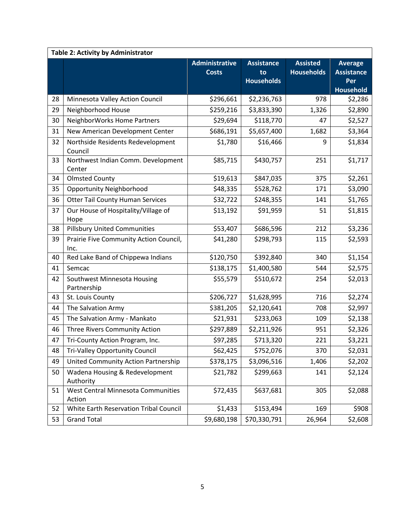| Table 2: Activity by Administrator |                                                |                       |                   |                   |                   |
|------------------------------------|------------------------------------------------|-----------------------|-------------------|-------------------|-------------------|
|                                    |                                                | <b>Administrative</b> | <b>Assistance</b> | <b>Assisted</b>   | <b>Average</b>    |
|                                    |                                                | <b>Costs</b>          | to                | <b>Households</b> | <b>Assistance</b> |
|                                    |                                                |                       | <b>Households</b> |                   | Per               |
|                                    |                                                |                       |                   |                   | <b>Household</b>  |
| 28                                 | Minnesota Valley Action Council                | \$296,661             | \$2,236,763       | 978               | \$2,286           |
| 29                                 | Neighborhood House                             | \$259,216             | \$3,833,390       | 1,326             | \$2,890           |
| 30                                 | NeighborWorks Home Partners                    | \$29,694              | \$118,770         | 47                | \$2,527           |
| 31                                 | New American Development Center                | \$686,191             | \$5,657,400       | 1,682             | \$3,364           |
| 32                                 | Northside Residents Redevelopment<br>Council   | \$1,780               | \$16,466          | 9                 | \$1,834           |
| 33                                 | Northwest Indian Comm. Development<br>Center   | \$85,715              | \$430,757         | 251               | \$1,717           |
| 34                                 | <b>Olmsted County</b>                          | \$19,613              | \$847,035         | 375               | \$2,261           |
| 35                                 | <b>Opportunity Neighborhood</b>                | \$48,335              | \$528,762         | 171               | \$3,090           |
| 36                                 | <b>Otter Tail County Human Services</b>        | \$32,722              | \$248,355         | 141               | \$1,765           |
| 37                                 | Our House of Hospitality/Village of<br>Hope    | \$13,192              | \$91,959          | 51                | \$1,815           |
| 38                                 | <b>Pillsbury United Communities</b>            | \$53,407              | \$686,596         | 212               | \$3,236           |
| 39                                 | Prairie Five Community Action Council,<br>Inc. | \$41,280              | \$298,793         | 115               | \$2,593           |
| 40                                 | Red Lake Band of Chippewa Indians              | \$120,750             | \$392,840         | 340               | \$1,154           |
| 41                                 | Semcac                                         | \$138,175             | \$1,400,580       | 544               | \$2,575           |
| 42                                 | Southwest Minnesota Housing<br>Partnership     | \$55,579              | \$510,672         | 254               | \$2,013           |
| 43                                 | St. Louis County                               | \$206,727             | \$1,628,995       | 716               | \$2,274           |
| 44                                 | The Salvation Army                             | \$381,205             | \$2,120,641       | 708               | \$2,997           |
| 45                                 | The Salvation Army - Mankato                   | \$21,931              | \$233,063         | 109               | \$2,138           |
| 46                                 | Three Rivers Community Action                  | \$297,889             | \$2,211,926       | 951               | \$2,326           |
| 47                                 | Tri-County Action Program, Inc.                | \$97,285              | \$713,320         | 221               | \$3,221           |
| 48                                 | Tri-Valley Opportunity Council                 | \$62,425              | \$752,076         | 370               | \$2,031           |
| 49                                 | United Community Action Partnership            | \$378,175             | \$3,096,516       | 1,406             | \$2,202           |
| 50                                 | Wadena Housing & Redevelopment<br>Authority    | \$21,782              | \$299,663         | 141               | \$2,124           |
| 51                                 | West Central Minnesota Communities<br>Action   | \$72,435              | \$637,681         | 305               | \$2,088           |
| 52                                 | White Earth Reservation Tribal Council         | \$1,433               | \$153,494         | 169               | \$908             |
| 53                                 | <b>Grand Total</b>                             | \$9,680,198           | \$70,330,791      | 26,964            | \$2,608           |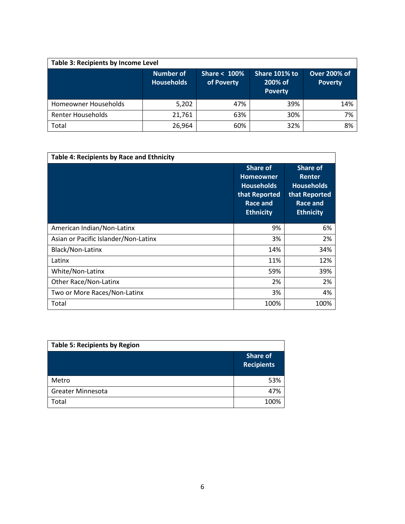| <b>Table 3: Recipients by Income Level</b> |                                       |                               |                                            |                                       |  |
|--------------------------------------------|---------------------------------------|-------------------------------|--------------------------------------------|---------------------------------------|--|
|                                            | <b>Number of</b><br><b>Households</b> | Share $< 100\%$<br>of Poverty | Share 101% to<br>200% of<br><b>Poverty</b> | <b>Over 200% of</b><br><b>Poverty</b> |  |
| Homeowner Households                       | 5,202                                 | 47%                           | 39%                                        | 14%                                   |  |
| <b>Renter Households</b>                   | 21,761                                | 63%                           | 30%                                        | 7%                                    |  |
| Total                                      | 26,964                                | 60%                           | 32%                                        | 8%                                    |  |

| <b>Table 4: Recipients by Race and Ethnicity</b> |                                                                                                                  |                                                                                                               |  |  |
|--------------------------------------------------|------------------------------------------------------------------------------------------------------------------|---------------------------------------------------------------------------------------------------------------|--|--|
|                                                  | <b>Share of</b><br><b>Homeowner</b><br><b>Households</b><br>that Reported<br><b>Race and</b><br><b>Ethnicity</b> | <b>Share of</b><br><b>Renter</b><br><b>Households</b><br>that Reported<br><b>Race and</b><br><b>Ethnicity</b> |  |  |
| American Indian/Non-Latinx                       | 9%                                                                                                               | 6%                                                                                                            |  |  |
| Asian or Pacific Islander/Non-Latinx             | 3%                                                                                                               | 2%                                                                                                            |  |  |
| Black/Non-Latinx                                 | 14%                                                                                                              | 34%                                                                                                           |  |  |
| Latinx                                           | 11%                                                                                                              | 12%                                                                                                           |  |  |
| White/Non-Latinx                                 | 59%                                                                                                              | 39%                                                                                                           |  |  |
| <b>Other Race/Non-Latinx</b>                     | 2%                                                                                                               | 2%                                                                                                            |  |  |
| Two or More Races/Non-Latinx                     | 3%                                                                                                               | 4%                                                                                                            |  |  |
| Total                                            | 100%                                                                                                             | 100%                                                                                                          |  |  |

| <b>Table 5: Recipients by Region</b> |                                      |  |  |
|--------------------------------------|--------------------------------------|--|--|
|                                      | <b>Share of</b><br><b>Recipients</b> |  |  |
| Metro                                | 53%                                  |  |  |
| <b>Greater Minnesota</b>             | 47%                                  |  |  |
| Total                                | 100%                                 |  |  |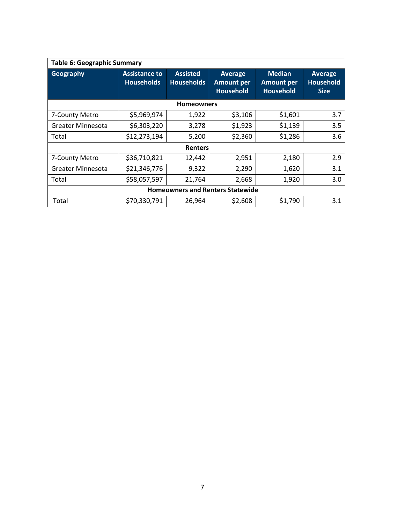| <b>Table 6: Geographic Summary</b>      |                                           |                                      |                                                         |                                                        |                                                   |  |
|-----------------------------------------|-------------------------------------------|--------------------------------------|---------------------------------------------------------|--------------------------------------------------------|---------------------------------------------------|--|
| Geography                               | <b>Assistance to</b><br><b>Households</b> | <b>Assisted</b><br><b>Households</b> | <b>Average</b><br><b>Amount per</b><br><b>Household</b> | <b>Median</b><br><b>Amount per</b><br><b>Household</b> | <b>Average</b><br><b>Household</b><br><b>Size</b> |  |
| <b>Homeowners</b>                       |                                           |                                      |                                                         |                                                        |                                                   |  |
| 7-County Metro                          | \$5,969,974                               | 1,922                                | \$3,106                                                 | \$1,601                                                | 3.7                                               |  |
| Greater Minnesota                       | \$6,303,220                               | 3,278                                | \$1,923                                                 | \$1,139                                                | 3.5                                               |  |
| Total                                   | \$12,273,194                              | 5,200                                | \$2,360                                                 | \$1,286                                                | 3.6                                               |  |
| <b>Renters</b>                          |                                           |                                      |                                                         |                                                        |                                                   |  |
| 7-County Metro                          | \$36,710,821                              | 12,442                               | 2,951                                                   | 2,180                                                  | 2.9                                               |  |
| Greater Minnesota                       | \$21,346,776                              | 9,322                                | 2,290                                                   | 1,620                                                  | 3.1                                               |  |
| Total                                   | \$58,057,597                              | 21,764                               | 2,668                                                   | 1,920                                                  | 3.0                                               |  |
| <b>Homeowners and Renters Statewide</b> |                                           |                                      |                                                         |                                                        |                                                   |  |
| Total                                   | \$70,330,791                              | 26,964                               | \$2,608                                                 | \$1,790                                                | 3.1                                               |  |